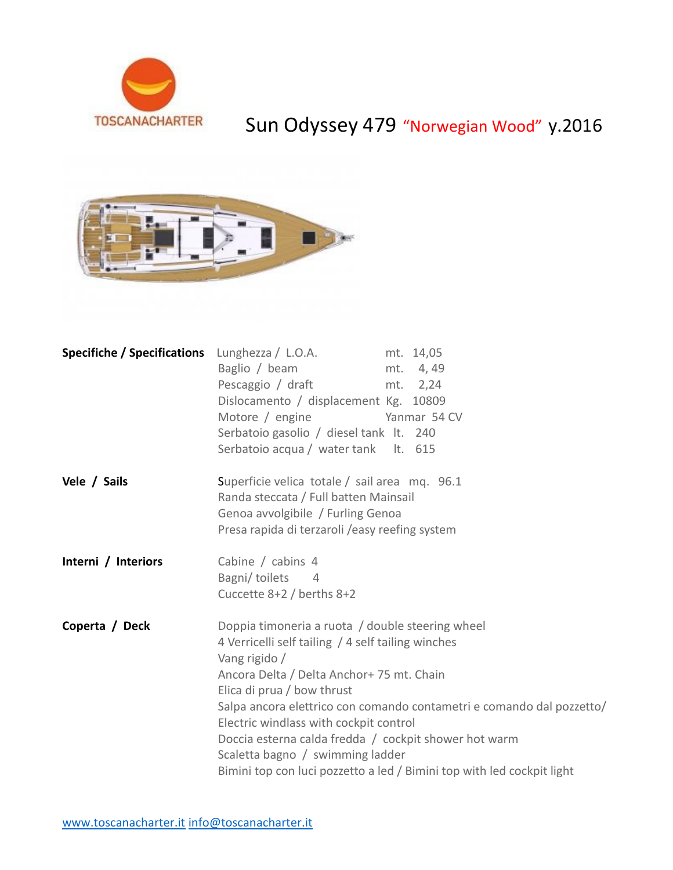

## Sun Odyssey 479 "Norwegian Wood" y.2016



|                     | <b>Specifiche / Specifications</b> Lunghezza / L.O.A.<br>mt. 14,05<br>Baglio / beam<br>mt. 4,49<br>Pescaggio / draft<br>mt. 2,24<br>Dislocamento / displacement Kg. 10809<br>Motore / engine<br>Yanmar 54 CV<br>Serbatoio gasolio / diesel tank lt. 240<br>Serbatoio acqua / water tank It. 615                                                                                                                                                                                              |
|---------------------|----------------------------------------------------------------------------------------------------------------------------------------------------------------------------------------------------------------------------------------------------------------------------------------------------------------------------------------------------------------------------------------------------------------------------------------------------------------------------------------------|
| Vele / Sails        | Superficie velica totale / sail area mq. 96.1<br>Randa steccata / Full batten Mainsail<br>Genoa avvolgibile / Furling Genoa<br>Presa rapida di terzaroli / easy reefing system                                                                                                                                                                                                                                                                                                               |
| Interni / Interiors | Cabine / cabins 4<br>Bagni/toilets 4<br>Cuccette 8+2 / berths 8+2                                                                                                                                                                                                                                                                                                                                                                                                                            |
| Coperta / Deck      | Doppia timoneria a ruota / double steering wheel<br>4 Verricelli self tailing / 4 self tailing winches<br>Vang rigido /<br>Ancora Delta / Delta Anchor+ 75 mt. Chain<br>Elica di prua / bow thrust<br>Salpa ancora elettrico con comando contametri e comando dal pozzetto/<br>Electric windlass with cockpit control<br>Doccia esterna calda fredda / cockpit shower hot warm<br>Scaletta bagno / swimming ladder<br>Bimini top con luci pozzetto a led / Bimini top with led cockpit light |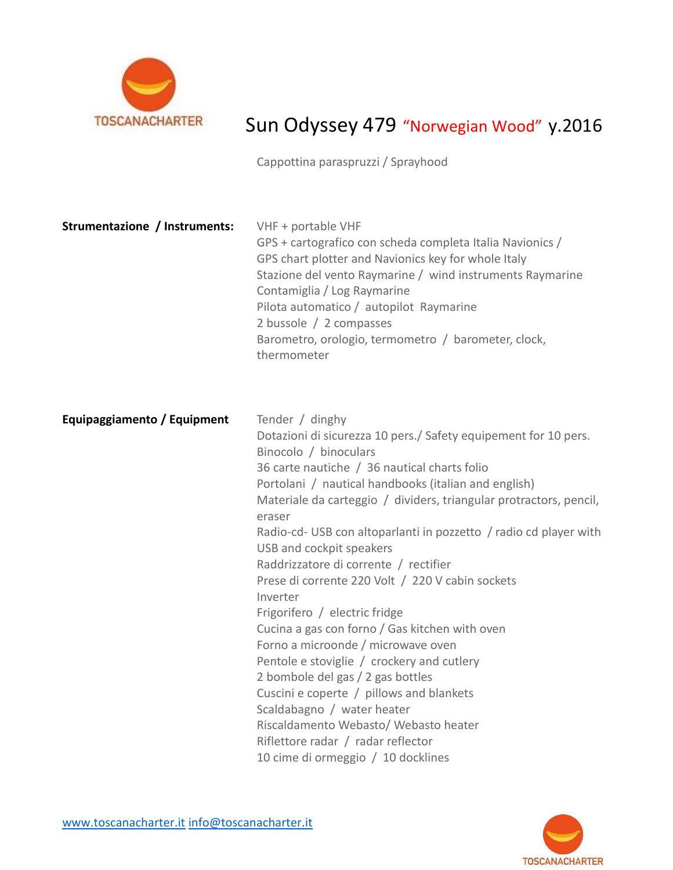

## Sun Odyssey 479 "Norwegian Wood" y.2016

Cappottina paraspruzzi / Sprayhood

| Strumentazione / Instruments: | VHF + portable VHF<br>GPS + cartografico con scheda completa Italia Navionics /<br>GPS chart plotter and Navionics key for whole Italy<br>Stazione del vento Raymarine / wind instruments Raymarine<br>Contamiglia / Log Raymarine<br>Pilota automatico / autopilot Raymarine<br>2 bussole / 2 compasses<br>Barometro, orologio, termometro / barometer, clock,<br>thermometer                                                                                                                                                                                                                                                                                                                                                                                                                                                                                                                                           |
|-------------------------------|--------------------------------------------------------------------------------------------------------------------------------------------------------------------------------------------------------------------------------------------------------------------------------------------------------------------------------------------------------------------------------------------------------------------------------------------------------------------------------------------------------------------------------------------------------------------------------------------------------------------------------------------------------------------------------------------------------------------------------------------------------------------------------------------------------------------------------------------------------------------------------------------------------------------------|
| Equipaggiamento / Equipment   | Tender / dinghy<br>Dotazioni di sicurezza 10 pers./ Safety equipement for 10 pers.<br>Binocolo / binoculars<br>36 carte nautiche / 36 nautical charts folio<br>Portolani / nautical handbooks (italian and english)<br>Materiale da carteggio / dividers, triangular protractors, pencil,<br>eraser<br>Radio-cd- USB con altoparlanti in pozzetto / radio cd player with<br>USB and cockpit speakers<br>Raddrizzatore di corrente / rectifier<br>Prese di corrente 220 Volt / 220 V cabin sockets<br>Inverter<br>Frigorifero / electric fridge<br>Cucina a gas con forno / Gas kitchen with oven<br>Forno a microonde / microwave oven<br>Pentole e stoviglie / crockery and cutlery<br>2 bombole del gas / 2 gas bottles<br>Cuscini e coperte / pillows and blankets<br>Scaldabagno / water heater<br>Riscaldamento Webasto/ Webasto heater<br>Riflettore radar / radar reflector<br>10 cime di ormeggio / 10 docklines |